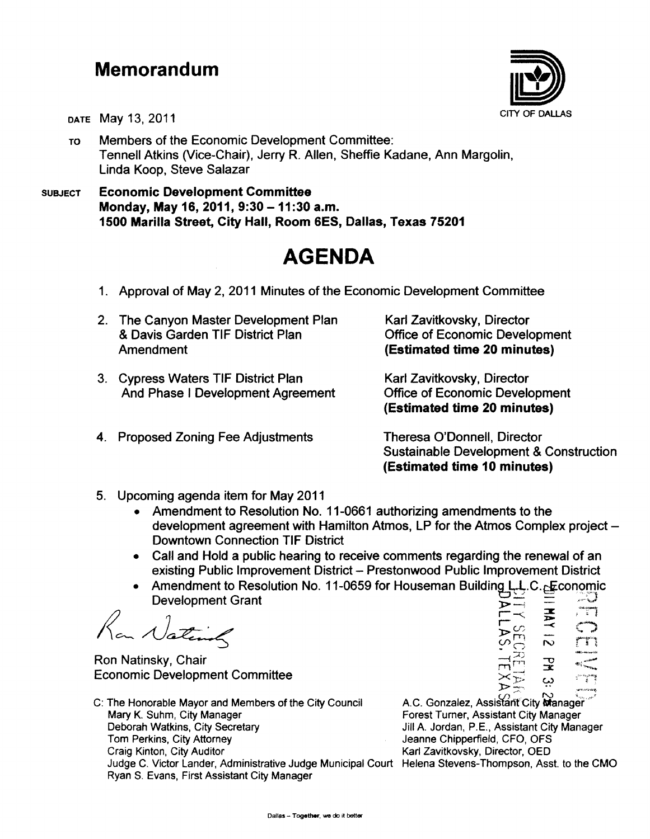## **Memorandum**



DATE May 13, 2011 CITY OF DALLAS

TO Members of the Economic Development Committee: Tennell Atkins (Vice-Chair), Jerry R. Allen, Sheffie Kadane, Ann Margolin, Linda Koop, Steve Salazar

SUBJECT Economic Development Committee Monday, May 16, 2011, 9:30 - 11:30 a.m. 1500 Marilla Street, City Hall, Room 6ES, Dallas, Texas 75201

## **AGENDA**

- 1. Approval of May 2, 2011 Minutes of the Economic Development Committee
- 2. The Canyon Master Development Plan & Davis Garden TIF District Plan Amendment
- 3. Cypress Waters TIF District Plan And Phase I Development Agreement
- 4. Proposed Zoning Fee Adjustments

Karl Zavitkovsky, Director Office of Economic Development (Estimated time 20 minutes)

Karl Zavitkovsky, Director Office of Economic Development (Estimated time 20 minutes)

Theresa O'Donnell, Director Sustainable Development & Construction (Estimated time 10 minutes)

- 5. Upcoming agenda item for May 2011
	- Amendment to Resolution No. 11-0661 authorizing amendments to the development agreement with Hamilton Atmos, LP for the Atmos Complex project -Downtown Connection TIF District
	- Call and Hold a public hearing to receive comments regarding the renewal of an existing Public Improvement District - Prestonwood Public Improvement District
	- Amendment to Resolution No. 11-0659 for Houseman Building L.L.C. Exconomic Development Grant

 $\sqrt{2\pi}$   $\sqrt{2\pi}$   $\frac{1}{2}$   $\frac{1}{2}$   $\frac{1}{2}$   $\frac{1}{2}$   $\frac{1}{2}$   $\frac{1}{2}$   $\frac{1}{2}$   $\frac{1}{2}$   $\frac{1}{2}$   $\frac{1}{2}$   $\frac{1}{2}$   $\frac{1}{2}$   $\frac{1}{2}$   $\frac{1}{2}$   $\frac{1}{2}$   $\frac{1}{2}$   $\frac{1}{2}$   $\frac{1}{2}$   $\frac{1}{2}$   $\frac{1}{2}$ 

Ron Natinsky, Chair Economic Development Committee

C: The Honorable Mayor and Members of the City Council Mary K. Suhm, City Manager Deborah Watkins, City Secretary Tom Perkins, City Attorney Craig Kinton, City Auditor Judge C. Victor Lander, Administrative Judge Municipal Court Helena Stevens-Thompson, Asst. to the CMO Ryan S. Evans, First Assistant City Manager

 $\frac{1}{2}$  $r_0 \overline{N}$   $\overline{N}$  $-2$  .  $\mathbf{r}$  $\ddot{\circ}$ ):;> :::~' • .. .....-t-~.,.,"'~,

A.C. Gonzalez, Assistant City Manager Forest Turner, Assistant City Manager Jill A. Jordan, P.E., Assistant City Manager Jeanne Chipperfield, CFO, OFS Karl Zavitkovsky, Director, OED